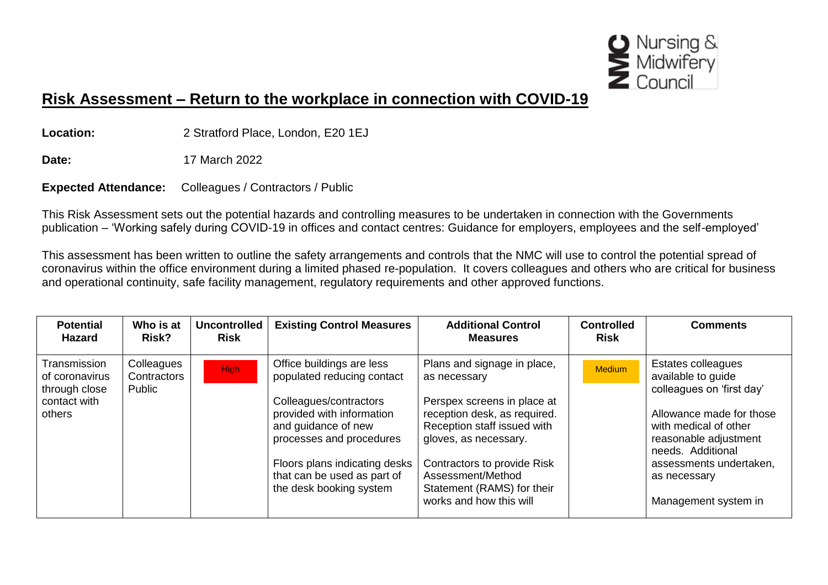

## **Risk Assessment – Return to the workplace in connection with COVID-19**

**Location:** 2 Stratford Place, London, E20 1EJ

**Date:** 17 March 2022

**Expected Attendance:** Colleagues / Contractors / Public

This Risk Assessment sets out the potential hazards and controlling measures to be undertaken in connection with the Governments publication – 'Working safely during COVID-19 in offices and contact centres: Guidance for employers, employees and the self-employed'

This assessment has been written to outline the safety arrangements and controls that the NMC will use to control the potential spread of coronavirus within the office environment during a limited phased re-population. It covers colleagues and others who are critical for business and operational continuity, safe facility management, regulatory requirements and other approved functions.

| <b>Potential</b><br><b>Hazard</b>                                         | Who is at<br>Risk?                  | <b>Uncontrolled</b><br><b>Risk</b> | <b>Existing Control Measures</b>                                                                                                                                                                   | <b>Additional Control</b><br><b>Measures</b>                                                                                                                                                      | <b>Controlled</b><br><b>Risk</b> | <b>Comments</b>                                                                                                                                                                                     |
|---------------------------------------------------------------------------|-------------------------------------|------------------------------------|----------------------------------------------------------------------------------------------------------------------------------------------------------------------------------------------------|---------------------------------------------------------------------------------------------------------------------------------------------------------------------------------------------------|----------------------------------|-----------------------------------------------------------------------------------------------------------------------------------------------------------------------------------------------------|
| Transmission<br>of coronavirus<br>through close<br>contact with<br>others | Colleagues<br>Contractors<br>Public | <b>High</b>                        | Office buildings are less<br>populated reducing contact<br>Colleagues/contractors<br>provided with information<br>and guidance of new<br>processes and procedures<br>Floors plans indicating desks | Plans and signage in place,<br>as necessary<br>Perspex screens in place at<br>reception desk, as required.<br>Reception staff issued with<br>gloves, as necessary.<br>Contractors to provide Risk | <b>Medium</b>                    | Estates colleagues<br>available to guide<br>colleagues on 'first day'<br>Allowance made for those<br>with medical of other<br>reasonable adjustment<br>needs. Additional<br>assessments undertaken, |
|                                                                           |                                     |                                    | that can be used as part of<br>the desk booking system                                                                                                                                             | Assessment/Method<br>Statement (RAMS) for their<br>works and how this will                                                                                                                        |                                  | as necessary<br>Management system in                                                                                                                                                                |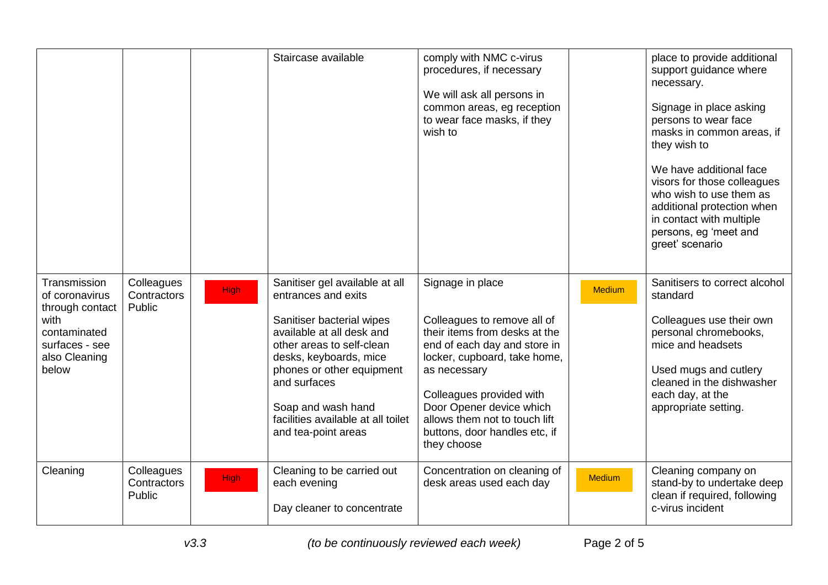|                                                                                                                       |                                     |             | Staircase available                                                                                                                                                                                                                                                                                    | comply with NMC c-virus<br>procedures, if necessary<br>We will ask all persons in<br>common areas, eg reception<br>to wear face masks, if they<br>wish to                                                                                                                                                 |               | place to provide additional<br>support guidance where<br>necessary.<br>Signage in place asking<br>persons to wear face<br>masks in common areas, if<br>they wish to<br>We have additional face<br>visors for those colleagues<br>who wish to use them as<br>additional protection when<br>in contact with multiple<br>persons, eg 'meet and<br>greet' scenario |
|-----------------------------------------------------------------------------------------------------------------------|-------------------------------------|-------------|--------------------------------------------------------------------------------------------------------------------------------------------------------------------------------------------------------------------------------------------------------------------------------------------------------|-----------------------------------------------------------------------------------------------------------------------------------------------------------------------------------------------------------------------------------------------------------------------------------------------------------|---------------|----------------------------------------------------------------------------------------------------------------------------------------------------------------------------------------------------------------------------------------------------------------------------------------------------------------------------------------------------------------|
| Transmission<br>of coronavirus<br>through contact<br>with<br>contaminated<br>surfaces - see<br>also Cleaning<br>below | Colleagues<br>Contractors<br>Public | <b>High</b> | Sanitiser gel available at all<br>entrances and exits<br>Sanitiser bacterial wipes<br>available at all desk and<br>other areas to self-clean<br>desks, keyboards, mice<br>phones or other equipment<br>and surfaces<br>Soap and wash hand<br>facilities available at all toilet<br>and tea-point areas | Signage in place<br>Colleagues to remove all of<br>their items from desks at the<br>end of each day and store in<br>locker, cupboard, take home,<br>as necessary<br>Colleagues provided with<br>Door Opener device which<br>allows them not to touch lift<br>buttons, door handles etc, if<br>they choose | <b>Medium</b> | Sanitisers to correct alcohol<br>standard<br>Colleagues use their own<br>personal chromebooks,<br>mice and headsets<br>Used mugs and cutlery<br>cleaned in the dishwasher<br>each day, at the<br>appropriate setting.                                                                                                                                          |
| Cleaning                                                                                                              | Colleagues<br>Contractors<br>Public | <b>High</b> | Cleaning to be carried out<br>each evening<br>Day cleaner to concentrate                                                                                                                                                                                                                               | Concentration on cleaning of<br>desk areas used each day                                                                                                                                                                                                                                                  | <b>Medium</b> | Cleaning company on<br>stand-by to undertake deep<br>clean if required, following<br>c-virus incident                                                                                                                                                                                                                                                          |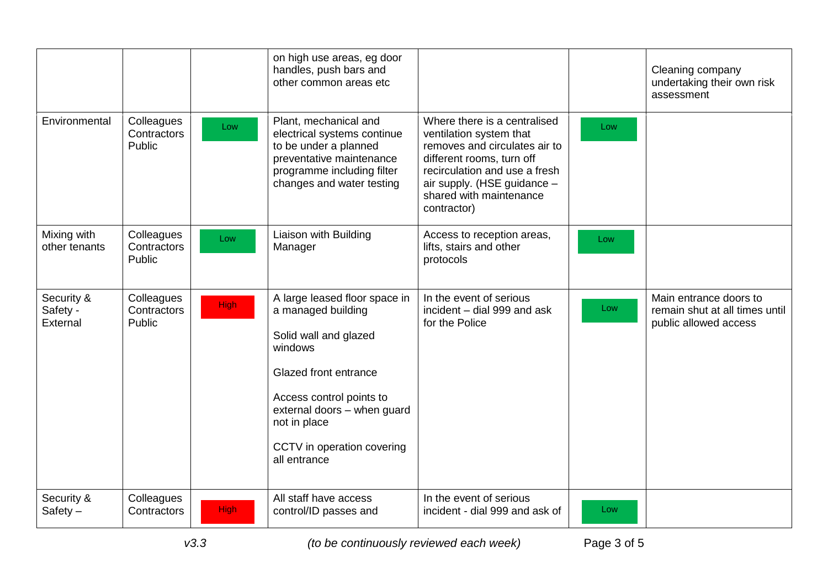|                                    |                                     |             | on high use areas, eg door<br>handles, push bars and<br>other common areas etc                                                                                                                                                            |                                                                                                                                                                                                                                 |     | Cleaning company<br>undertaking their own risk<br>assessment                      |
|------------------------------------|-------------------------------------|-------------|-------------------------------------------------------------------------------------------------------------------------------------------------------------------------------------------------------------------------------------------|---------------------------------------------------------------------------------------------------------------------------------------------------------------------------------------------------------------------------------|-----|-----------------------------------------------------------------------------------|
| Environmental                      | Colleagues<br>Contractors<br>Public | Low         | Plant, mechanical and<br>electrical systems continue<br>to be under a planned<br>preventative maintenance<br>programme including filter<br>changes and water testing                                                                      | Where there is a centralised<br>ventilation system that<br>removes and circulates air to<br>different rooms, turn off<br>recirculation and use a fresh<br>air supply. (HSE guidance -<br>shared with maintenance<br>contractor) | Low |                                                                                   |
| Mixing with<br>other tenants       | Colleagues<br>Contractors<br>Public | Low         | Liaison with Building<br>Manager                                                                                                                                                                                                          | Access to reception areas,<br>lifts, stairs and other<br>protocols                                                                                                                                                              | Low |                                                                                   |
| Security &<br>Safety -<br>External | Colleagues<br>Contractors<br>Public | <b>High</b> | A large leased floor space in<br>a managed building<br>Solid wall and glazed<br>windows<br>Glazed front entrance<br>Access control points to<br>external doors - when guard<br>not in place<br>CCTV in operation covering<br>all entrance | In the event of serious<br>incident - dial 999 and ask<br>for the Police                                                                                                                                                        | Low | Main entrance doors to<br>remain shut at all times until<br>public allowed access |
| Security &<br>Safety $-$           | Colleagues<br>Contractors           | <b>High</b> | All staff have access<br>control/ID passes and                                                                                                                                                                                            | In the event of serious<br>incident - dial 999 and ask of                                                                                                                                                                       | Low |                                                                                   |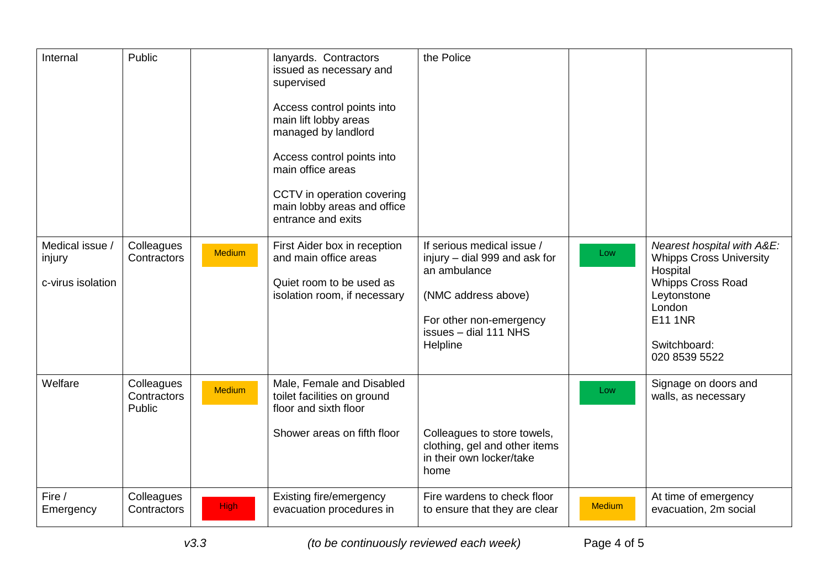| Internal                                       | Public                              |               | lanyards. Contractors<br>issued as necessary and<br>supervised<br>Access control points into<br>main lift lobby areas<br>managed by landlord<br>Access control points into<br>main office areas<br>CCTV in operation covering<br>main lobby areas and office<br>entrance and exits | the Police                                                                                                                                                         |               |                                                                                                                                                                                  |
|------------------------------------------------|-------------------------------------|---------------|------------------------------------------------------------------------------------------------------------------------------------------------------------------------------------------------------------------------------------------------------------------------------------|--------------------------------------------------------------------------------------------------------------------------------------------------------------------|---------------|----------------------------------------------------------------------------------------------------------------------------------------------------------------------------------|
| Medical issue /<br>injury<br>c-virus isolation | Colleagues<br>Contractors           | <b>Medium</b> | First Aider box in reception<br>and main office areas<br>Quiet room to be used as<br>isolation room, if necessary                                                                                                                                                                  | If serious medical issue /<br>injury - dial 999 and ask for<br>an ambulance<br>(NMC address above)<br>For other non-emergency<br>issues - dial 111 NHS<br>Helpline | Low           | Nearest hospital with A&E:<br><b>Whipps Cross University</b><br>Hospital<br><b>Whipps Cross Road</b><br>Leytonstone<br>London<br><b>E11 1NR</b><br>Switchboard:<br>020 8539 5522 |
| Welfare                                        | Colleagues<br>Contractors<br>Public | <b>Medium</b> | Male, Female and Disabled<br>toilet facilities on ground<br>floor and sixth floor<br>Shower areas on fifth floor                                                                                                                                                                   | Colleagues to store towels,<br>clothing, gel and other items<br>in their own locker/take<br>home                                                                   | Low           | Signage on doors and<br>walls, as necessary                                                                                                                                      |
| Fire /<br>Emergency                            | Colleagues<br>Contractors           | <b>High</b>   | Existing fire/emergency<br>evacuation procedures in                                                                                                                                                                                                                                | Fire wardens to check floor<br>to ensure that they are clear                                                                                                       | <b>Medium</b> | At time of emergency<br>evacuation, 2m social                                                                                                                                    |